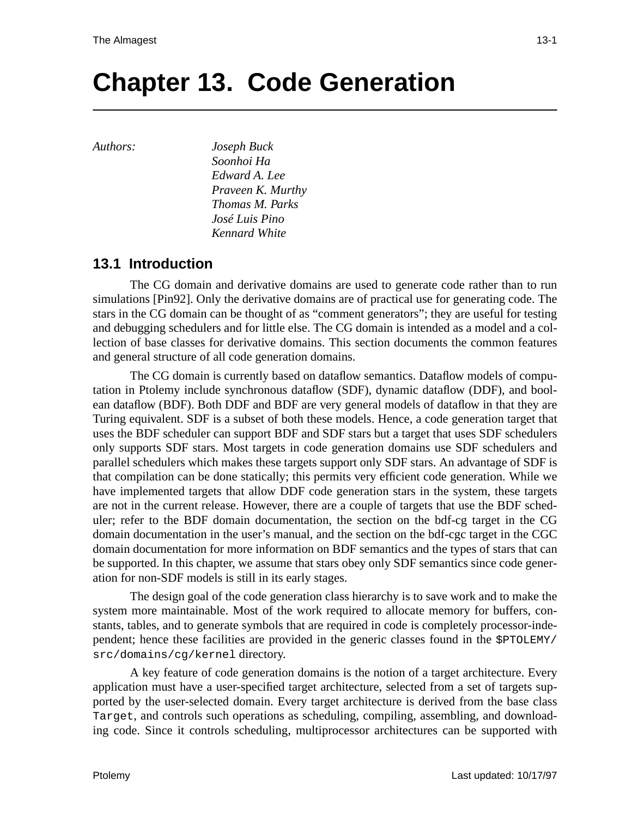# **Chapter 13. Code Generation**

*Authors: Joseph Buck*

*Soonhoi Ha Edward A. Lee Praveen K. Murthy Thomas M. Parks José Luis Pino Kennard White*

## **13.1 Introduction**

The CG domain and derivative domains are used to generate code rather than to run simulations [Pin92]. Only the derivative domains are of practical use for generating code. The stars in the CG domain can be thought of as "comment generators"; they are useful for testing and debugging schedulers and for little else. The CG domain is intended as a model and a collection of base classes for derivative domains. This section documents the common features and general structure of all code generation domains.

The CG domain is currently based on dataflow semantics. Dataflow models of computation in Ptolemy include synchronous dataflow (SDF), dynamic dataflow (DDF), and boolean dataflow (BDF). Both DDF and BDF are very general models of dataflow in that they are Turing equivalent. SDF is a subset of both these models. Hence, a code generation target that uses the BDF scheduler can support BDF and SDF stars but a target that uses SDF schedulers only supports SDF stars. Most targets in code generation domains use SDF schedulers and parallel schedulers which makes these targets support only SDF stars. An advantage of SDF is that compilation can be done statically; this permits very efficient code generation. While we have implemented targets that allow DDF code generation stars in the system, these targets are not in the current release. However, there are a couple of targets that use the BDF scheduler; refer to the BDF domain documentation, the section on the bdf-cg target in the CG domain documentation in the user's manual, and the section on the bdf-cgc target in the CGC domain documentation for more information on BDF semantics and the types of stars that can be supported. In this chapter, we assume that stars obey only SDF semantics since code generation for non-SDF models is still in its early stages.

The design goal of the code generation class hierarchy is to save work and to make the system more maintainable. Most of the work required to allocate memory for buffers, constants, tables, and to generate symbols that are required in code is completely processor-independent; hence these facilities are provided in the generic classes found in the \$PTOLEMY/ src/domains/cg/kernel directory.

A key feature of code generation domains is the notion of a target architecture. Every application must have a user-specified target architecture, selected from a set of targets supported by the user-selected domain. Every target architecture is derived from the base class Target, and controls such operations as scheduling, compiling, assembling, and downloading code. Since it controls scheduling, multiprocessor architectures can be supported with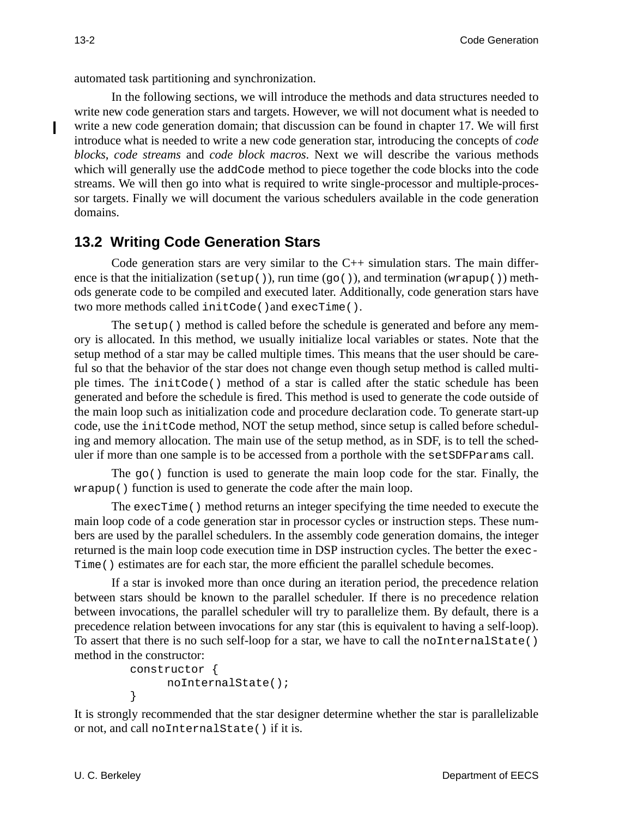automated task partitioning and synchronization.

In the following sections, we will introduce the methods and data structures needed to write new code generation stars and targets. However, we will not document what is needed to write a new code generation domain; that discussion can be found in chapter 17. We will first introduce what is needed to write a new code generation star, introducing the concepts of *code blocks*, *code streams* and *code block macros*. Next we will describe the various methods which will generally use the addCode method to piece together the code blocks into the code streams. We will then go into what is required to write single-processor and multiple-processor targets. Finally we will document the various schedulers available in the code generation domains.

## **13.2 Writing Code Generation Stars**

Code generation stars are very similar to the  $C_{++}$  simulation stars. The main difference is that the initialization (setup()), run time  $(g_0()$ , and termination (wrapup()) methods generate code to be compiled and executed later. Additionally, code generation stars have two more methods called initCode()and execTime().

The setup() method is called before the schedule is generated and before any memory is allocated. In this method, we usually initialize local variables or states. Note that the setup method of a star may be called multiple times. This means that the user should be careful so that the behavior of the star does not change even though setup method is called multiple times. The initCode() method of a star is called after the static schedule has been generated and before the schedule is fired. This method is used to generate the code outside of the main loop such as initialization code and procedure declaration code. To generate start-up code, use the initCode method, NOT the setup method, since setup is called before scheduling and memory allocation. The main use of the setup method, as in SDF, is to tell the scheduler if more than one sample is to be accessed from a porthole with the setSDFParams call.

The  $qo()$  function is used to generate the main loop code for the star. Finally, the wrapup() function is used to generate the code after the main loop.

The execTime() method returns an integer specifying the time needed to execute the main loop code of a code generation star in processor cycles or instruction steps. These numbers are used by the parallel schedulers. In the assembly code generation domains, the integer returned is the main loop code execution time in DSP instruction cycles. The better the exec-Time() estimates are for each star, the more efficient the parallel schedule becomes.

If a star is invoked more than once during an iteration period, the precedence relation between stars should be known to the parallel scheduler. If there is no precedence relation between invocations, the parallel scheduler will try to parallelize them. By default, there is a precedence relation between invocations for any star (this is equivalent to having a self-loop). To assert that there is no such self-loop for a star, we have to call the noInternalState() method in the constructor:

```
constructor {
     noInternalState();
}
```
It is strongly recommended that the star designer determine whether the star is parallelizable or not, and call noInternalState() if it is.

Ī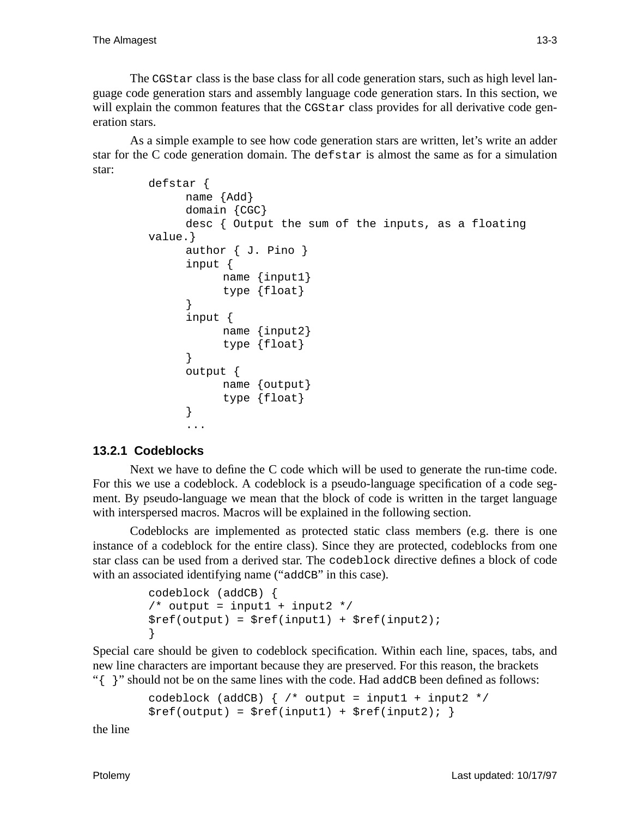The CGStar class is the base class for all code generation stars, such as high level language code generation stars and assembly language code generation stars. In this section, we will explain the common features that the CGStar class provides for all derivative code generation stars.

As a simple example to see how code generation stars are written, let's write an adder star for the C code generation domain. The defstar is almost the same as for a simulation star:

```
defstar {
     name {Add}
     domain {CGC}
     desc { Output the sum of the inputs, as a floating
value.}
     author { J. Pino }
     input {
           name {input1}
           type {float}
      }
      input {
           name {input2}
           type {float}
      }
     output {
           name {output}
           type {float}
      }
      ...
```
## **13.2.1 Codeblocks**

Next we have to define the C code which will be used to generate the run-time code. For this we use a codeblock. A codeblock is a pseudo-language specification of a code segment. By pseudo-language we mean that the block of code is written in the target language with interspersed macros. Macros will be explained in the following section.

Codeblocks are implemented as protected static class members (e.g. there is one instance of a codeblock for the entire class). Since they are protected, codeblocks from one star class can be used from a derived star. The codeblock directive defines a block of code with an associated identifying name ("addCB" in this case).

```
codeblock (addCB) {
/* output = input1 + input2 */$ref(out) = $ref(input) + $ref(input2);}
```
Special care should be given to codeblock specification. Within each line, spaces, tabs, and new line characters are important because they are preserved. For this reason, the brackets "{ }" should not be on the same lines with the code. Had addCB been defined as follows:

```
codeblock (addCB) \{ /* output = input1 + input2 */
$ref(output) = $ref(input1) + $ref(input2); }
```
the line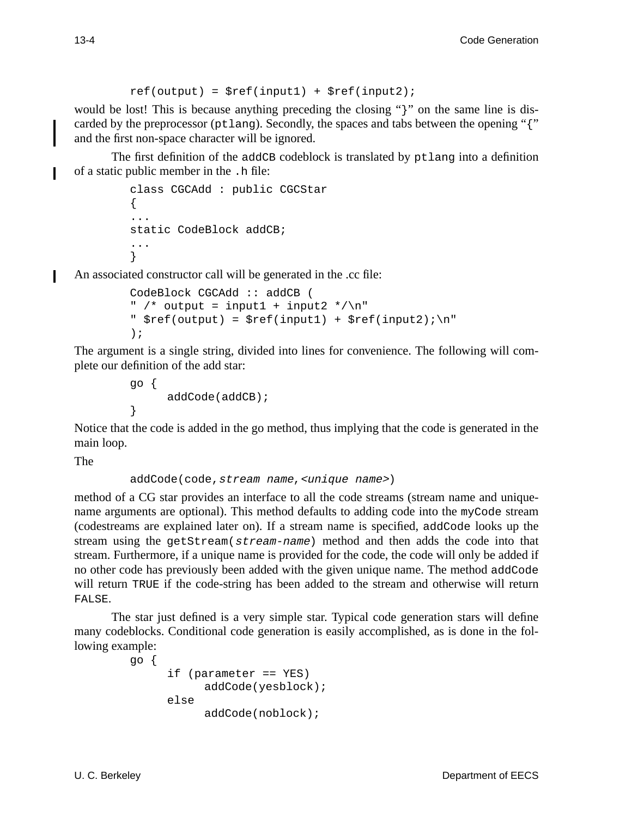```
ref(out) = $ref(input1) + $ref(input2);
```
would be lost! This is because anything preceding the closing "}" on the same line is discarded by the preprocessor (ptlang). Secondly, the spaces and tabs between the opening "{" and the first non-space character will be ignored.

The first definition of the addCB codeblock is translated by ptlang into a definition of a static public member in the .h file:

```
class CGCAdd : public CGCStar
{
...
static CodeBlock addCB;
...
}
```
An associated constructor call will be generated in the .cc file:

```
CodeBlock CGCAdd :: addCB (
" /* output = input1 + input2 */\n"
" $ref(output) = $ref(input1) + $ref(input2)i\n);
```
The argument is a single string, divided into lines for convenience. The following will complete our definition of the add star:

```
go {
      addCode(addCB);
}
```
Notice that the code is added in the go method, thus implying that the code is generated in the main loop.

The

```
addCode(code, stream name, <unique name>)
```
method of a CG star provides an interface to all the code streams (stream name and uniquename arguments are optional). This method defaults to adding code into the myCode stream (codestreams are explained later on). If a stream name is specified, addCode looks up the stream using the getStream(stream-name) method and then adds the code into that stream. Furthermore, if a unique name is provided for the code, the code will only be added if no other code has previously been added with the given unique name. The method addCode will return TRUE if the code-string has been added to the stream and otherwise will return FALSE.

The star just defined is a very simple star. Typical code generation stars will define many codeblocks. Conditional code generation is easily accomplished, as is done in the following example:

```
go {
     if (parameter == YES)
           addCode(yesblock);
     else
           addCode(noblock);
```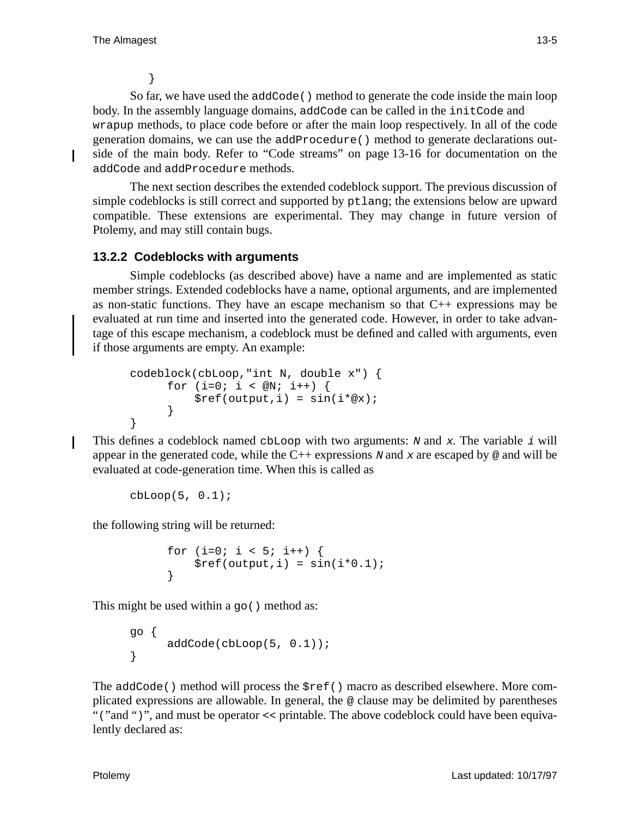}

So far, we have used the addCode() method to generate the code inside the main loop body. In the assembly language domains, addCode can be called in the initCode and wrapup methods, to place code before or after the main loop respectively. In all of the code generation domains, we can use the addProcedure() method to generate declarations outside of the main body. Refer to "Code streams" on page 13-16 for documentation on the addCode and addProcedure methods.

The next section describes the extended codeblock support. The previous discussion of simple codeblocks is still correct and supported by ptlang; the extensions below are upward compatible. These extensions are experimental. They may change in future version of Ptolemy, and may still contain bugs.

## **13.2.2 Codeblocks with arguments**

Simple codeblocks (as described above) have a name and are implemented as static member strings. Extended codeblocks have a name, optional arguments, and are implemented as non-static functions. They have an escape mechanism so that  $C_{++}$  expressions may be evaluated at run time and inserted into the generated code. However, in order to take advantage of this escape mechanism, a codeblock must be defined and called with arguments, even if those arguments are empty. An example:

```
codeblock(cbLoop,"int N, double x") {
      for (i=0; i < \emptyset N; i++) {
          $ref(output,i) = sin(i*@x);}
}
```
This defines a codeblock named cbLoop with two arguments: N and x. The variable i will appear in the generated code, while the  $C++$  expressions N and x are escaped by  $\omega$  and will be evaluated at code-generation time. When this is called as

```
cbLoop(5, 0.1);
```
the following string will be returned:

```
for (i=0; i < 5; i++) {
    $ref(output,i) = sin(i*0.1);}
```
This might be used within a go() method as:

```
go {
     addCode(cbLoop(5, 0.1));
}
```
The addCode() method will process the \$ref() macro as described elsewhere. More complicated expressions are allowable. In general, the @ clause may be delimited by parentheses "("and ")", and must be operator << printable. The above codeblock could have been equivalently declared as: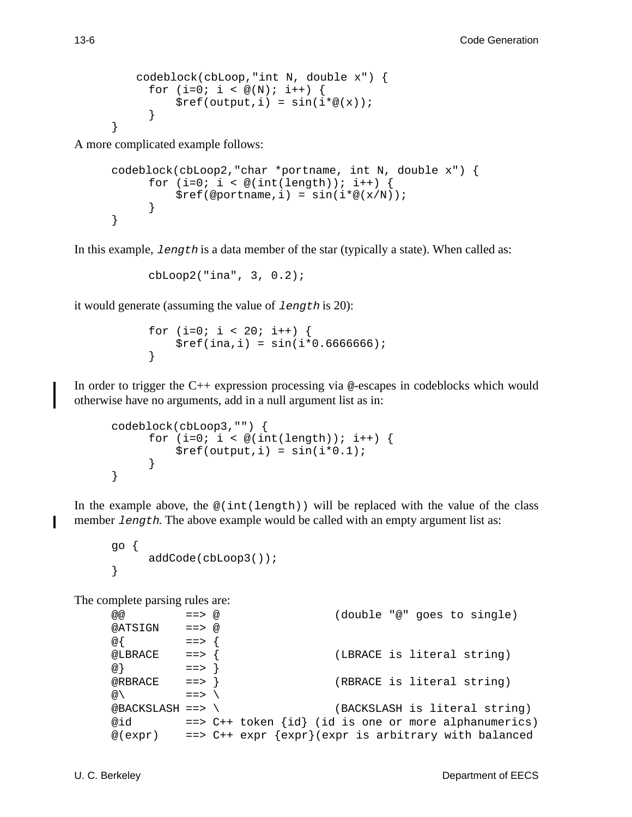```
codeblock(cbLoop,"int N, double x") {
  for (i=0; i < \mathcal{Q}(N); i++) {
      $ref(output,i) = sin(i*@(x));}
```
A more complicated example follows:

```
codeblock(cbLoop2,"char *portname, int N, double x") {
      for (i=0; i < \mathcal{Q}(int(length)); i++)$ref(\text{oportname}, i) = sin(i * @(<b>x</b>/N));}
}
```
In this example, length is a data member of the star (typically a state). When called as:

cbLoop2("ina", 3, 0.2);

it would generate (assuming the value of length is 20):

```
for (i=0; i < 20; i++) {
   $ref(ina,i) = sin(i*0.666666);}
```
In order to trigger the C++ expression processing via @-escapes in codeblocks which would otherwise have no arguments, add in a null argument list as in:

```
codeblock(cbLoop3,"") {
      for (i=0; i < \mathcal{Q}(int(length))); i++)$ref(output,i) = sin(i*0.1);}
}
```
In the example above, the  $\mathcal{Q}(\text{int}(\text{length}))$  will be replaced with the value of the class member length. The above example would be called with an empty argument list as:

```
go {
     addCode(cbLoop3());
}
```
The complete parsing rules are:

```
@@ ==> @ (double "@" goes to single)
@ATSIGN ==> @
\omega { ==> {
@LBRACE ==> { (LBRACE is literal string)
@} ==> }
@RBRACE ==> } (RBRACE is literal string)
\omega \setminus ==> \setminus@BACKSLASH ==> \ (BACKSLASH is literal string)
@id ==> C++ token \{id\} (id is one or more alphanumerics)
@(expr) ==> C++ expr {expr}(expr is arbitrary with balanced
```
}

П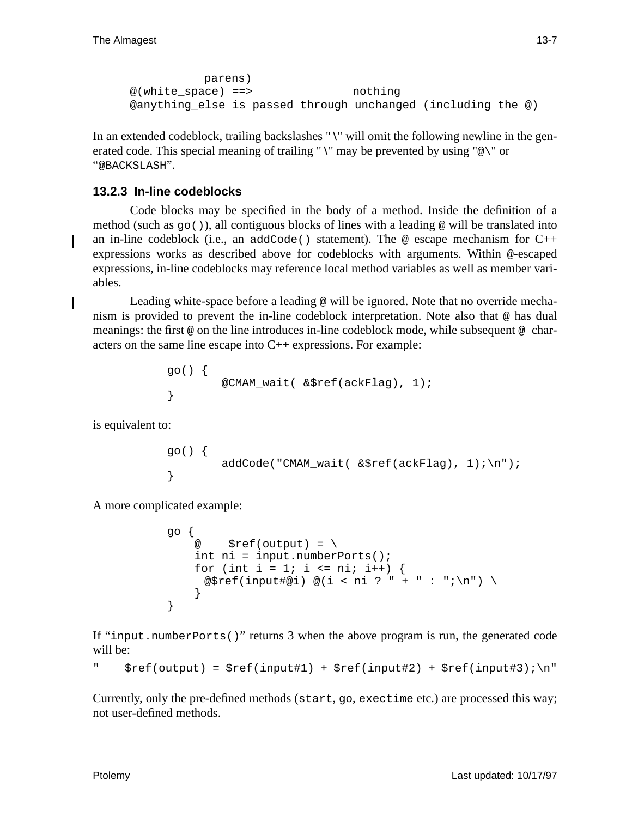```
parens)
@(white_space) ==> nothing
@anything_else is passed through unchanged (including the @)
```
In an extended codeblock, trailing backslashes "\" will omit the following newline in the generated code. This special meaning of trailing " $\Upsilon$ " may be prevented by using " $\mathcal{Q}\Upsilon$ " or "@BACKSLASH".

## **13.2.3 In-line codeblocks**

Code blocks may be specified in the body of a method. Inside the definition of a method (such as  $q_0()$ ), all contiguous blocks of lines with a leading  $\omega$  will be translated into an in-line codeblock (i.e., an addCode() statement). The  $\omega$  escape mechanism for C++ expressions works as described above for codeblocks with arguments. Within @-escaped expressions, in-line codeblocks may reference local method variables as well as member variables.

Leading white-space before a leading @ will be ignored. Note that no override mechanism is provided to prevent the in-line codeblock interpretation. Note also that @ has dual meanings: the first @ on the line introduces in-line codeblock mode, while subsequent @ characters on the same line escape into C++ expressions. For example:

```
go() {
         @CMAM_wait( &$ref(ackFlag), 1);
}
```
is equivalent to:

```
go() {
        addCode("CMAM_wait( &$ref(ackFlag), 1);\n");
}
```
A more complicated example:

```
go {
   @ $ref(out) = \{ int ni = input.numberPorts();
   for (int i = 1; i <= ni; i++) {
     @$ref(input#@i) @(i < ni ? " + " : ";\n") \
     }
}
```
If "input.numberPorts()" returns 3 when the above program is run, the generated code will be:

```
" $ref(output) = $ref(input#1) + $ref(input#2) + $ref(input#3) : \n"
```
Currently, only the pre-defined methods (start, go, exectime etc.) are processed this way; not user-defined methods.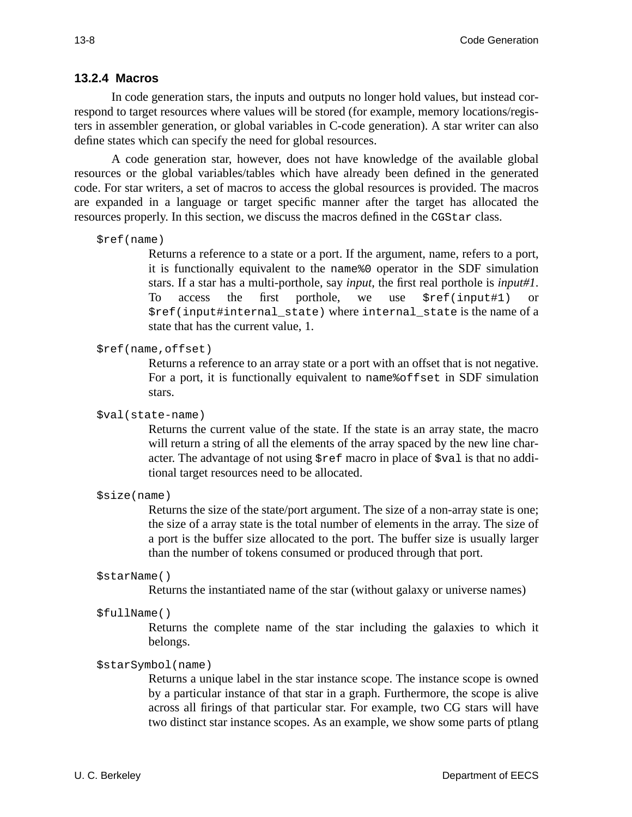#### **13.2.4 Macros**

In code generation stars, the inputs and outputs no longer hold values, but instead correspond to target resources where values will be stored (for example, memory locations/registers in assembler generation, or global variables in C-code generation). A star writer can also define states which can specify the need for global resources.

A code generation star, however, does not have knowledge of the available global resources or the global variables/tables which have already been defined in the generated code. For star writers, a set of macros to access the global resources is provided. The macros are expanded in a language or target specific manner after the target has allocated the resources properly. In this section, we discuss the macros defined in the CGStar class.

```
$ref(name)
```
Returns a reference to a state or a port. If the argument, name, refers to a port, it is functionally equivalent to the name%0 operator in the SDF simulation stars. If a star has a multi-porthole, say *input*, the first real porthole is *input#1*. To access the first porthole, we use \$ref(input#1) or \$ref(input#internal\_state) where internal\_state is the name of a state that has the current value, 1.

#### \$ref(name,offset)

Returns a reference to an array state or a port with an offset that is not negative. For a port, it is functionally equivalent to name & of fset in SDF simulation stars.

#### \$val(state-name)

Returns the current value of the state. If the state is an array state, the macro will return a string of all the elements of the array spaced by the new line character. The advantage of not using \$ref macro in place of \$val is that no additional target resources need to be allocated.

\$size(name)

Returns the size of the state/port argument. The size of a non-array state is one; the size of a array state is the total number of elements in the array. The size of a port is the buffer size allocated to the port. The buffer size is usually larger than the number of tokens consumed or produced through that port.

\$starName()

Returns the instantiated name of the star (without galaxy or universe names)

\$fullName()

Returns the complete name of the star including the galaxies to which it belongs.

#### \$starSymbol(name)

Returns a unique label in the star instance scope. The instance scope is owned by a particular instance of that star in a graph. Furthermore, the scope is alive across all firings of that particular star. For example, two CG stars will have two distinct star instance scopes. As an example, we show some parts of ptlang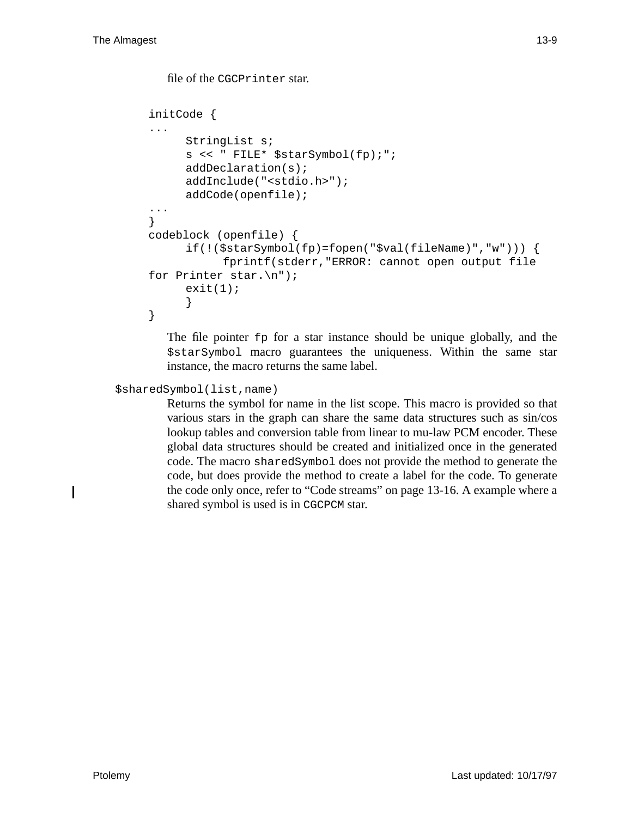```
file of the CGCPrinter star.
initCode {
...
     StringList s;
     s << " FILE* $starSymbol(fp);";
     addDeclaration(s);
     addInclude("<stdio.h>");
     addCode(openfile);
...
}
codeblock (openfile) {
     if(!($starSymbol(fp)=fopen("$val(fileName)","w"))) {
           fprintf(stderr,"ERROR: cannot open output file
for Printer star.\n");
     exit(1);}
}
```
The file pointer fp for a star instance should be unique globally, and the \$starSymbol macro guarantees the uniqueness. Within the same star instance, the macro returns the same label.

\$sharedSymbol(list,name)

Returns the symbol for name in the list scope. This macro is provided so that various stars in the graph can share the same data structures such as sin/cos lookup tables and conversion table from linear to mu-law PCM encoder. These global data structures should be created and initialized once in the generated code. The macro sharedSymbol does not provide the method to generate the code, but does provide the method to create a label for the code. To generate the code only once, refer to "Code streams" on page 13-16. A example where a shared symbol is used is in CGCPCM star.

I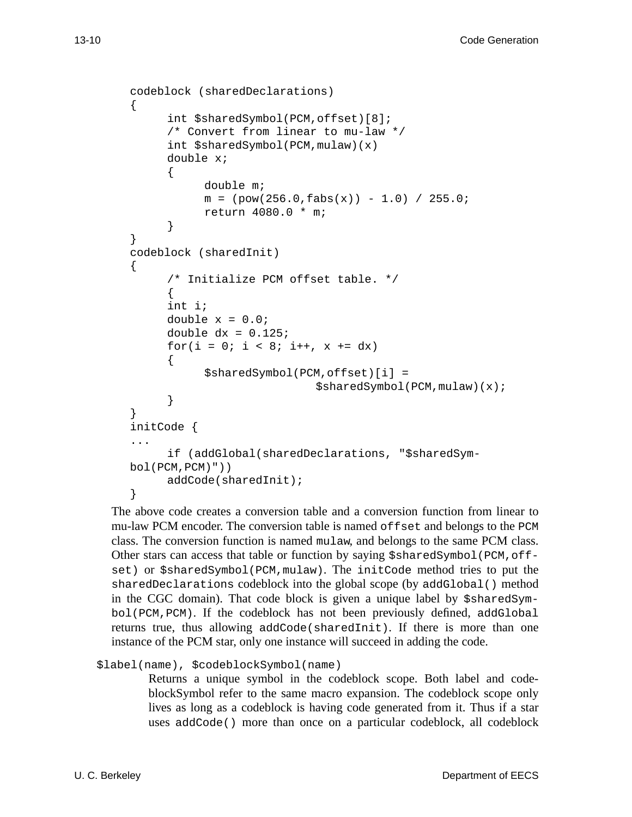```
codeblock (sharedDeclarations)
\left\{ \right.int $sharedSymbol(PCM,offset)[8];
      /* Convert from linear to mu-law */
      int $sharedSymbol(PCM,mulaw)(x)
      double x;
      {
           double m;
           m = (pow(256.0, fabs(x)) - 1.0) / 255.0;return 4080.0 * m;
      }
}
codeblock (sharedInit)
\{/* Initialize PCM offset table. */
      {
      int i;
      double x = 0.0;
      double dx = 0.125;
      for(i = 0; i < 8; i++, x += dx)
      \{$sharedSymbol(PCM,offset)[i] =
                             $sharedSymbol(PCM,mulaw)(x);
      }
}
initCode {
...
      if (addGlobal(sharedDeclarations, "$sharedSym-
bol(PCM,PCM)"))
      addCode(sharedInit);
}
```
The above code creates a conversion table and a conversion function from linear to mu-law PCM encoder. The conversion table is named offset and belongs to the PCM class. The conversion function is named mulaw, and belongs to the same PCM class. Other stars can access that table or function by saying \$sharedSymbol(PCM,offset) or \$sharedSymbol(PCM,mulaw). The initCode method tries to put the sharedDeclarations codeblock into the global scope (by addGlobal() method in the CGC domain). That code block is given a unique label by \$sharedSymbol(PCM,PCM). If the codeblock has not been previously defined, addGlobal returns true, thus allowing addCode(sharedInit). If there is more than one instance of the PCM star, only one instance will succeed in adding the code.

\$label(name), \$codeblockSymbol(name)

Returns a unique symbol in the codeblock scope. Both label and codeblockSymbol refer to the same macro expansion. The codeblock scope only lives as long as a codeblock is having code generated from it. Thus if a star uses addCode() more than once on a particular codeblock, all codeblock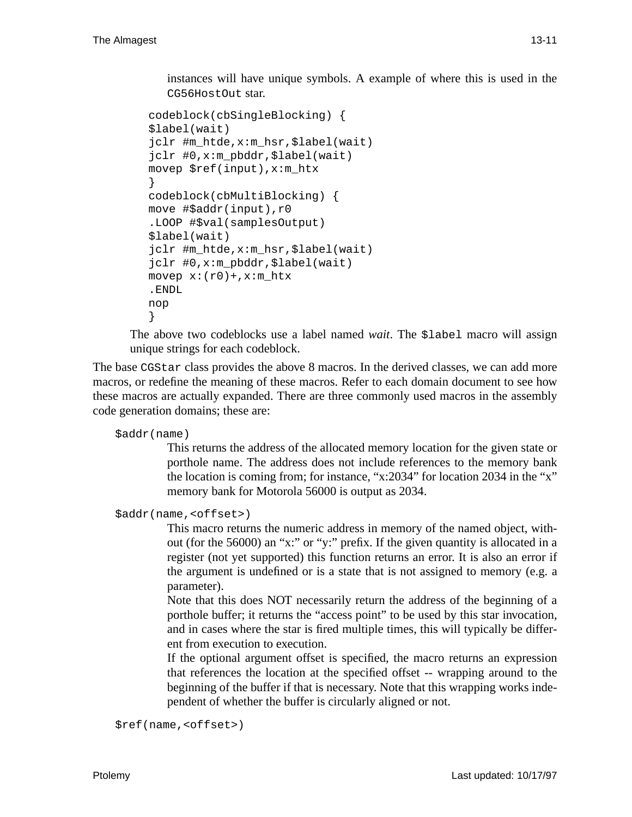instances will have unique symbols. A example of where this is used in the CG56HostOut star.

```
codeblock(cbSingleBlocking) {
$label(wait)
jclr #m_htde,x:m_hsr,$label(wait)
jclr #0,x:m_pbddr,$label(wait)
movep $ref(input),x:m_htx
}
codeblock(cbMultiBlocking) {
move #$addr(input),r0
.LOOP #$val(samplesOutput)
$label(wait)
jclr #m_htde,x:m_hsr,$label(wait)
jclr #0,x:m_pbddr,$label(wait)
movep x:(r0)+, x:m_htx.ENDL
nop
}
```
The above two codeblocks use a label named *wait*. The \$label macro will assign unique strings for each codeblock.

The base CGStar class provides the above 8 macros. In the derived classes, we can add more macros, or redefine the meaning of these macros. Refer to each domain document to see how these macros are actually expanded. There are three commonly used macros in the assembly code generation domains; these are:

\$addr(name)

This returns the address of the allocated memory location for the given state or porthole name. The address does not include references to the memory bank the location is coming from; for instance, "x:2034" for location 2034 in the "x" memory bank for Motorola 56000 is output as 2034.

\$addr(name,<offset>)

This macro returns the numeric address in memory of the named object, without (for the 56000) an "x:" or "y:" prefix. If the given quantity is allocated in a register (not yet supported) this function returns an error. It is also an error if the argument is undefined or is a state that is not assigned to memory (e.g. a parameter).

Note that this does NOT necessarily return the address of the beginning of a porthole buffer; it returns the "access point" to be used by this star invocation, and in cases where the star is fired multiple times, this will typically be different from execution to execution.

If the optional argument offset is specified, the macro returns an expression that references the location at the specified offset -- wrapping around to the beginning of the buffer if that is necessary. Note that this wrapping works independent of whether the buffer is circularly aligned or not.

```
$ref(name,<offset>)
```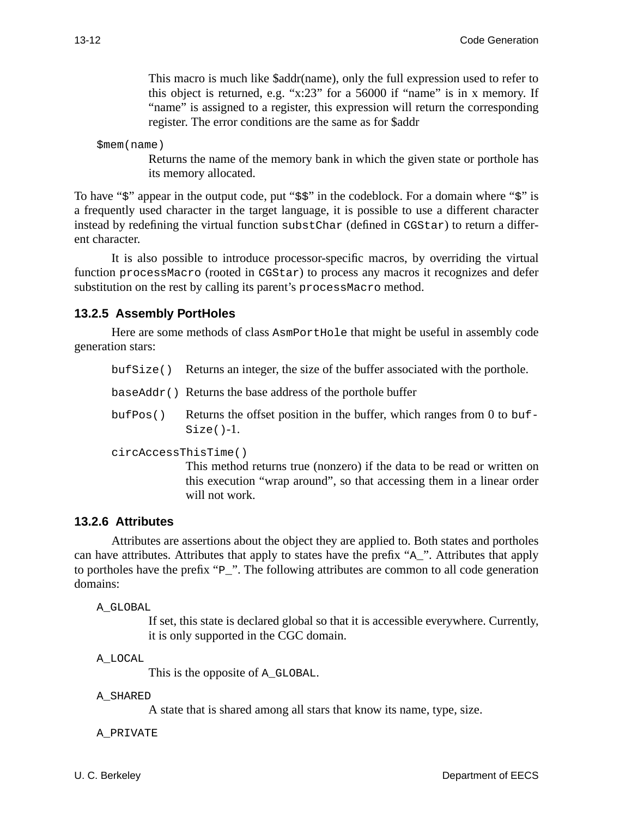This macro is much like \$addr(name), only the full expression used to refer to this object is returned, e.g. "x:23" for a 56000 if "name" is in x memory. If "name" is assigned to a register, this expression will return the corresponding register. The error conditions are the same as for \$addr

\$mem(name)

Returns the name of the memory bank in which the given state or porthole has its memory allocated.

To have "\$" appear in the output code, put "\$\$" in the codeblock. For a domain where "\$" is a frequently used character in the target language, it is possible to use a different character instead by redefining the virtual function substChar (defined in CGStar) to return a different character.

It is also possible to introduce processor-specific macros, by overriding the virtual function processMacro (rooted in CGStar) to process any macros it recognizes and defer substitution on the rest by calling its parent's processMacro method.

#### **13.2.5 Assembly PortHoles**

Here are some methods of class AsmPortHole that might be useful in assembly code generation stars:

bufSize() Returns an integer, the size of the buffer associated with the porthole.

baseAddr() Returns the base address of the porthole buffer

 $b$ uf Pos() Returns the offset position in the buffer, which ranges from 0 to buf- $Size() - 1.$ 

circAccessThisTime()

This method returns true (nonzero) if the data to be read or written on this execution "wrap around", so that accessing them in a linear order will not work.

#### **13.2.6 Attributes**

Attributes are assertions about the object they are applied to. Both states and portholes can have attributes. Attributes that apply to states have the prefix "A\_". Attributes that apply to portholes have the prefix "P\_". The following attributes are common to all code generation domains:

A\_GLOBAL

If set, this state is declared global so that it is accessible everywhere. Currently, it is only supported in the CGC domain.

A\_LOCAL

This is the opposite of A\_GLOBAL.

A\_SHARED

A state that is shared among all stars that know its name, type, size.

A\_PRIVATE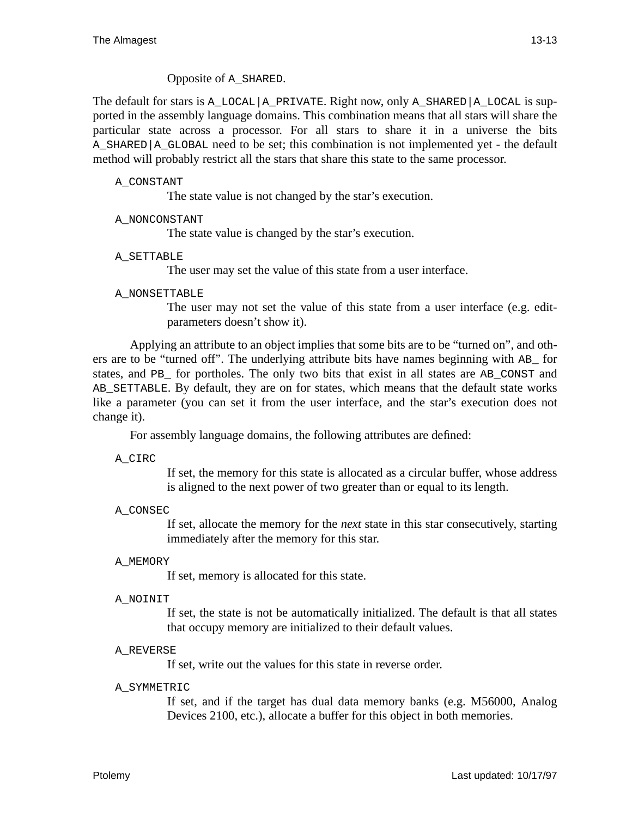Opposite of A\_SHARED.

The default for stars is A\_LOCAL|A\_PRIVATE. Right now, only A\_SHARED|A\_LOCAL is supported in the assembly language domains. This combination means that all stars will share the particular state across a processor. For all stars to share it in a universe the bits A\_SHARED|A\_GLOBAL need to be set; this combination is not implemented yet - the default method will probably restrict all the stars that share this state to the same processor.

#### A\_CONSTANT

The state value is not changed by the star's execution.

#### A\_NONCONSTANT

The state value is changed by the star's execution.

#### A\_SETTABLE

The user may set the value of this state from a user interface.

#### A\_NONSETTABLE

The user may not set the value of this state from a user interface (e.g. editparameters doesn't show it).

Applying an attribute to an object implies that some bits are to be "turned on", and others are to be "turned off". The underlying attribute bits have names beginning with AB\_ for states, and PB\_ for portholes. The only two bits that exist in all states are AB\_CONST and AB\_SETTABLE. By default, they are on for states, which means that the default state works like a parameter (you can set it from the user interface, and the star's execution does not change it).

For assembly language domains, the following attributes are defined:

A\_CIRC

If set, the memory for this state is allocated as a circular buffer, whose address is aligned to the next power of two greater than or equal to its length.

#### A\_CONSEC

If set, allocate the memory for the *next* state in this star consecutively, starting immediately after the memory for this star.

## A\_MEMORY

If set, memory is allocated for this state.

#### A\_NOINIT

If set, the state is not be automatically initialized. The default is that all states that occupy memory are initialized to their default values.

#### A\_REVERSE

If set, write out the values for this state in reverse order.

#### A\_SYMMETRIC

If set, and if the target has dual data memory banks (e.g. M56000, Analog Devices 2100, etc.), allocate a buffer for this object in both memories.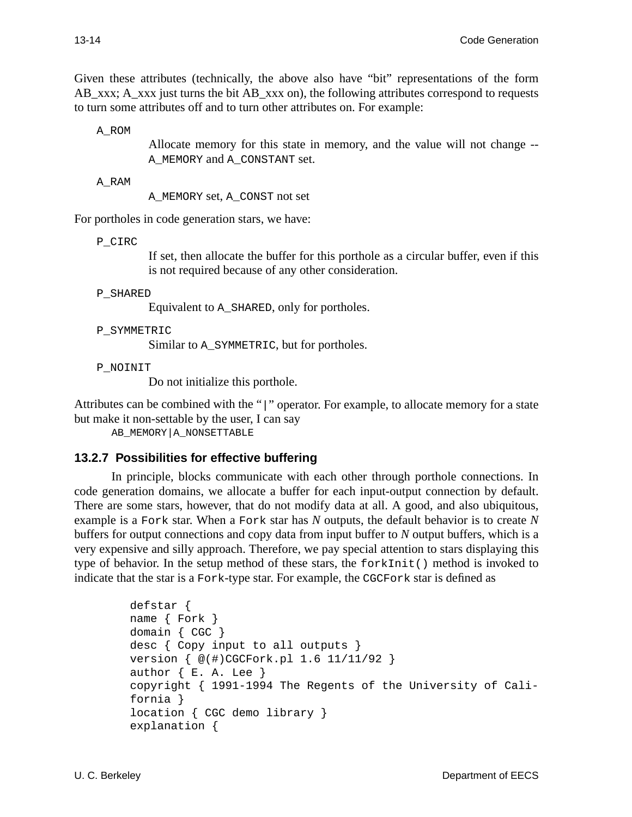Given these attributes (technically, the above also have "bit" representations of the form AB\_xxx; A\_xxx just turns the bit AB\_xxx on), the following attributes correspond to requests to turn some attributes off and to turn other attributes on. For example:

A\_ROM

Allocate memory for this state in memory, and the value will not change -- A\_MEMORY and A\_CONSTANT set.

A\_RAM

A\_MEMORY set, A\_CONST not set

For portholes in code generation stars, we have:

P\_CIRC

If set, then allocate the buffer for this porthole as a circular buffer, even if this is not required because of any other consideration.

#### P\_SHARED

Equivalent to A\_SHARED, only for portholes.

#### P\_SYMMETRIC

Similar to A\_SYMMETRIC, but for portholes.

P\_NOINIT

Do not initialize this porthole.

Attributes can be combined with the "|" operator. For example, to allocate memory for a state but make it non-settable by the user, I can say

AB\_MEMORY|A\_NONSETTABLE

## **13.2.7 Possibilities for effective buffering**

In principle, blocks communicate with each other through porthole connections. In code generation domains, we allocate a buffer for each input-output connection by default. There are some stars, however, that do not modify data at all. A good, and also ubiquitous, example is a Fork star. When a Fork star has *N* outputs, the default behavior is to create *N* buffers for output connections and copy data from input buffer to *N* output buffers, which is a very expensive and silly approach. Therefore, we pay special attention to stars displaying this type of behavior. In the setup method of these stars, the forkInit() method is invoked to indicate that the star is a Fork-type star. For example, the CGCFork star is defined as

```
defstar {
name { Fork }
domain { CGC }
desc { Copy input to all outputs }
version { @(#)CGCFork.pl 1.6 11/11/92 }
author \{ E. A. Lee \}copyright { 1991-1994 The Regents of the University of Cali-
fornia }
location { CGC demo library }
explanation {
```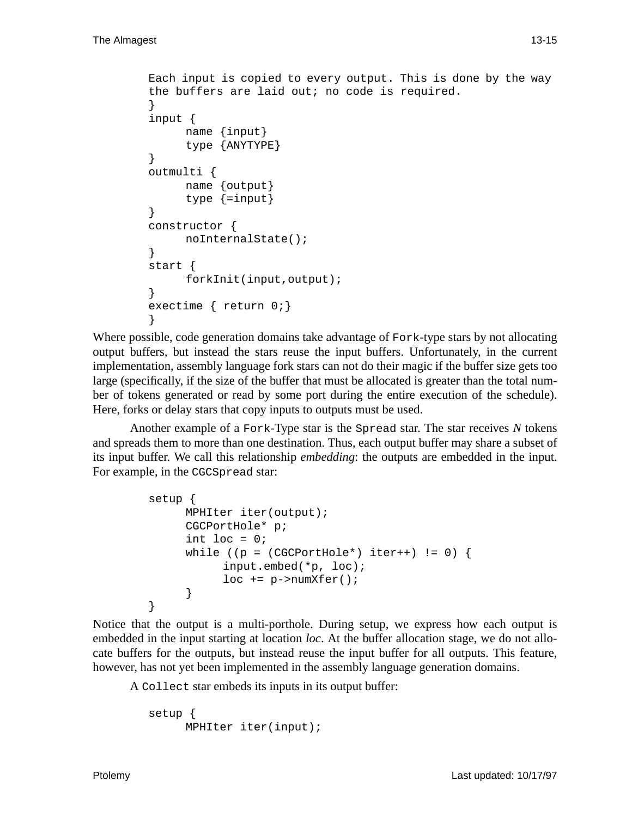```
Each input is copied to every output. This is done by the way
the buffers are laid out; no code is required.
}
input {
     name {input}
     type {ANYTYPE}
}
outmulti {
     name {output}
     type {=input}
}
constructor {
     noInternalState();
}
start {
     forkInit(input,output);
}
exectime { return 0;}
}
```
Where possible, code generation domains take advantage of Fork-type stars by not allocating output buffers, but instead the stars reuse the input buffers. Unfortunately, in the current implementation, assembly language fork stars can not do their magic if the buffer size gets too large (specifically, if the size of the buffer that must be allocated is greater than the total number of tokens generated or read by some port during the entire execution of the schedule). Here, forks or delay stars that copy inputs to outputs must be used.

Another example of a Fork-Type star is the Spread star. The star receives *N* tokens and spreads them to more than one destination. Thus, each output buffer may share a subset of its input buffer. We call this relationship *embedding*: the outputs are embedded in the input. For example, in the CGCSpread star:

```
setup {
     MPHIter iter(output);
     CGCPortHole* p;
     int loc = 0;while ((p = (CGCPortHole*) iter++) != 0) {
           input.embed(*p, loc);
           loc += p->numXfer();
     }
}
```
Notice that the output is a multi-porthole. During setup, we express how each output is embedded in the input starting at location *loc*. At the buffer allocation stage, we do not allocate buffers for the outputs, but instead reuse the input buffer for all outputs. This feature, however, has not yet been implemented in the assembly language generation domains.

A Collect star embeds its inputs in its output buffer:

```
setup {
     MPHIter iter(input);
```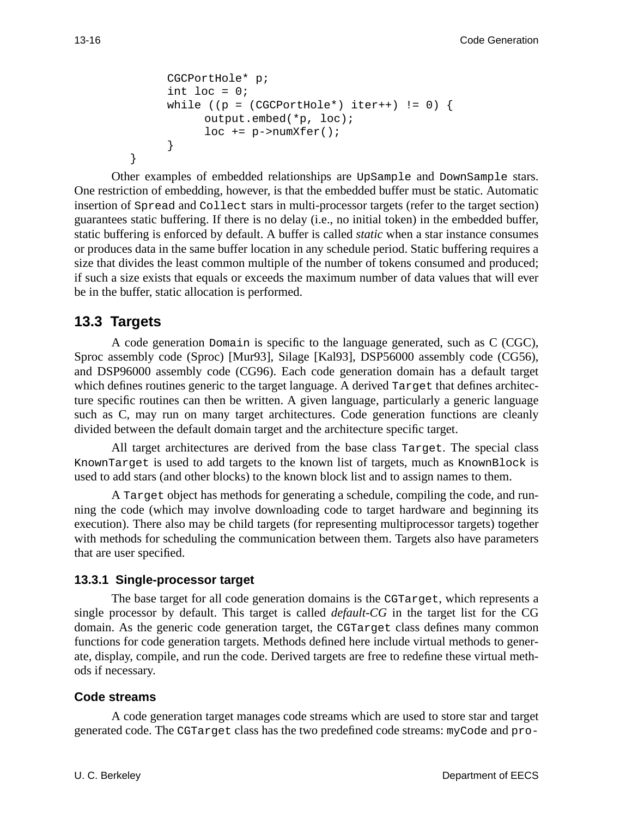```
CGCPortHole* p;
int loc = 0;
while ((p = (CGCPortHole<sup>*</sup>) iter++) != 0)output.embed(*p, loc);
      loc += p->numXfer();
}
```
Other examples of embedded relationships are UpSample and DownSample stars. One restriction of embedding, however, is that the embedded buffer must be static. Automatic insertion of Spread and Collect stars in multi-processor targets (refer to the target section) guarantees static buffering. If there is no delay (i.e., no initial token) in the embedded buffer, static buffering is enforced by default. A buffer is called *static* when a star instance consumes or produces data in the same buffer location in any schedule period. Static buffering requires a size that divides the least common multiple of the number of tokens consumed and produced; if such a size exists that equals or exceeds the maximum number of data values that will ever be in the buffer, static allocation is performed.

# **13.3 Targets**

}

A code generation Domain is specific to the language generated, such as C (CGC), Sproc assembly code (Sproc) [Mur93], Silage [Kal93], DSP56000 assembly code (CG56), and DSP96000 assembly code (CG96). Each code generation domain has a default target which defines routines generic to the target language. A derived Target that defines architecture specific routines can then be written. A given language, particularly a generic language such as C, may run on many target architectures. Code generation functions are cleanly divided between the default domain target and the architecture specific target.

All target architectures are derived from the base class Target. The special class KnownTarget is used to add targets to the known list of targets, much as KnownBlock is used to add stars (and other blocks) to the known block list and to assign names to them.

A Target object has methods for generating a schedule, compiling the code, and running the code (which may involve downloading code to target hardware and beginning its execution). There also may be child targets (for representing multiprocessor targets) together with methods for scheduling the communication between them. Targets also have parameters that are user specified.

## **13.3.1 Single-processor target**

The base target for all code generation domains is the CGTarget, which represents a single processor by default. This target is called *default-CG* in the target list for the CG domain. As the generic code generation target, the CGTarget class defines many common functions for code generation targets. Methods defined here include virtual methods to generate, display, compile, and run the code. Derived targets are free to redefine these virtual methods if necessary.

## **Code streams**

A code generation target manages code streams which are used to store star and target generated code. The CGTarget class has the two predefined code streams: myCode and pro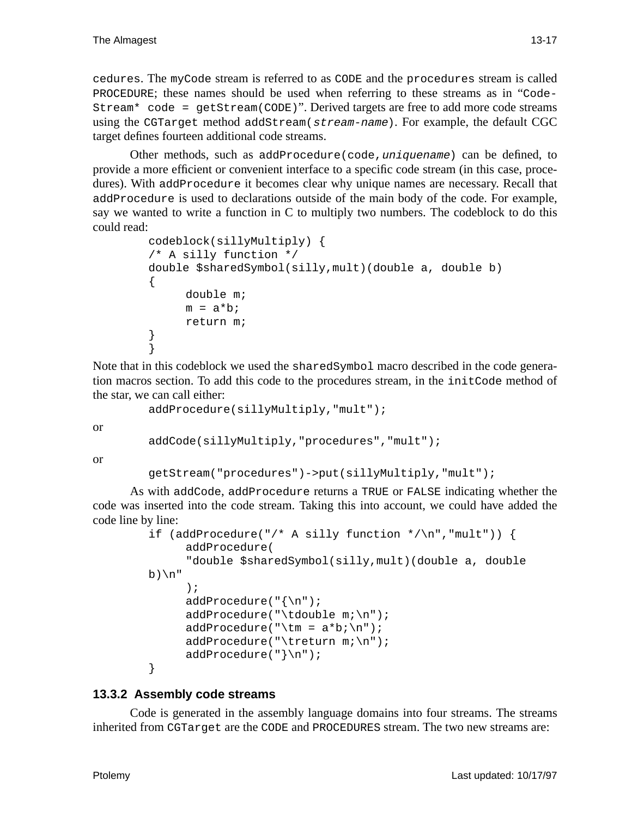cedures. The myCode stream is referred to as CODE and the procedures stream is called PROCEDURE; these names should be used when referring to these streams as in "Code-Stream\* code = getStream(CODE)". Derived targets are free to add more code streams using the CGTarget method addStream(stream-name). For example, the default CGC target defines fourteen additional code streams.

Other methods, such as addProcedure(code,uniquename) can be defined, to provide a more efficient or convenient interface to a specific code stream (in this case, procedures). With addProcedure it becomes clear why unique names are necessary. Recall that addProcedure is used to declarations outside of the main body of the code. For example, say we wanted to write a function in C to multiply two numbers. The codeblock to do this could read:

```
codeblock(sillyMultiply) {
/* A silly function */
double $sharedSymbol(silly,mult)(double a, double b)
{
     double m;
     m = a * b;return m;
}
}
```
Note that in this codeblock we used the sharedSymbol macro described in the code generation macros section. To add this code to the procedures stream, in the initCode method of the star, we can call either:

```
addProcedure(sillyMultiply,"mult");
```
or

```
addCode(sillyMultiply,"procedures","mult");
```
or

```
getStream("procedures")->put(sillyMultiply,"mult");
```
As with addCode, addProcedure returns a TRUE or FALSE indicating whether the code was inserted into the code stream. Taking this into account, we could have added the code line by line:

```
if (addProcedure("/* A silly function */\n","mult")) {
     addProcedure(
     "double $sharedSymbol(silly,mult)(double a, double
b)\n"
     );
     addProcedure("{\n");
     addProcedure("\tdouble m;\n");
     addProceedure("\tm = a*b;\n"
     addProcedure("\treturn m;\n");
     addProcedure("}\n");
}
```
## **13.3.2 Assembly code streams**

Code is generated in the assembly language domains into four streams. The streams inherited from CGTarget are the CODE and PROCEDURES stream. The two new streams are: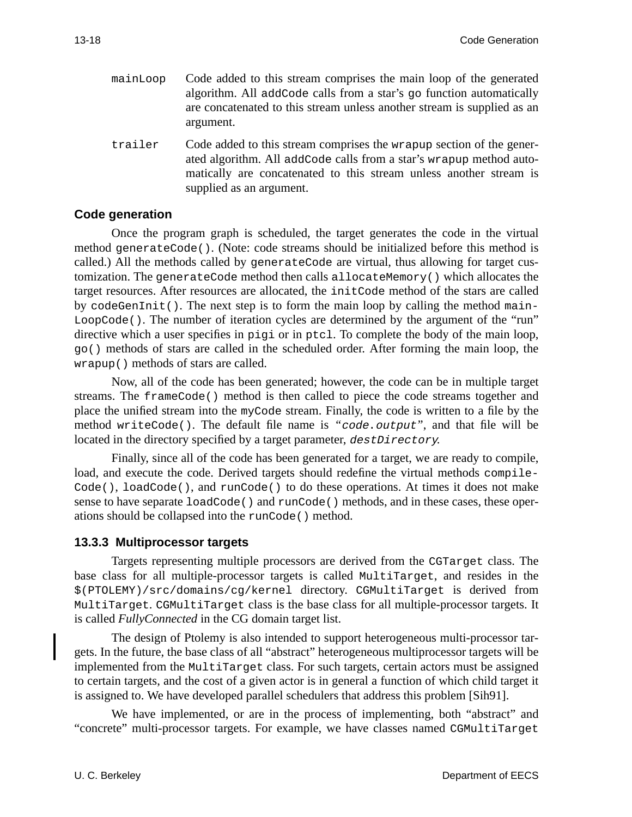mainLoop Code added to this stream comprises the main loop of the generated algorithm. All addCode calls from a star's go function automatically are concatenated to this stream unless another stream is supplied as an argument. trailer Code added to this stream comprises the wrapup section of the generated algorithm. All addCode calls from a star's wrapup method auto-

matically are concatenated to this stream unless another stream is

## **Code generation**

Once the program graph is scheduled, the target generates the code in the virtual method generateCode(). (Note: code streams should be initialized before this method is called.) All the methods called by generateCode are virtual, thus allowing for target customization. The generateCode method then calls allocateMemory() which allocates the target resources. After resources are allocated, the initCode method of the stars are called by codeGenInit(). The next step is to form the main loop by calling the method main-LoopCode(). The number of iteration cycles are determined by the argument of the "run" directive which a user specifies in pigi or in ptcl. To complete the body of the main loop, go() methods of stars are called in the scheduled order. After forming the main loop, the wrapup() methods of stars are called.

supplied as an argument.

Now, all of the code has been generated; however, the code can be in multiple target streams. The frameCode() method is then called to piece the code streams together and place the unified stream into the myCode stream. Finally, the code is written to a file by the method writeCode(). The default file name is *"*code.output*"*, and that file will be located in the directory specified by a target parameter, destDirectory.

Finally, since all of the code has been generated for a target, we are ready to compile, load, and execute the code. Derived targets should redefine the virtual methods compile-Code(), loadCode(), and runCode() to do these operations. At times it does not make sense to have separate loadCode() and runCode() methods, and in these cases, these operations should be collapsed into the runCode() method.

## **13.3.3 Multiprocessor targets**

Targets representing multiple processors are derived from the CGTarget class. The base class for all multiple-processor targets is called MultiTarget, and resides in the \$(PTOLEMY)/src/domains/cg/kernel directory. CGMultiTarget is derived from MultiTarget. CGMultiTarget class is the base class for all multiple-processor targets. It is called *FullyConnected* in the CG domain target list.

The design of Ptolemy is also intended to support heterogeneous multi-processor targets. In the future, the base class of all "abstract" heterogeneous multiprocessor targets will be implemented from the MultiTarget class. For such targets, certain actors must be assigned to certain targets, and the cost of a given actor is in general a function of which child target it is assigned to. We have developed parallel schedulers that address this problem [Sih91].

We have implemented, or are in the process of implementing, both "abstract" and "concrete" multi-processor targets. For example, we have classes named CGMultiTarget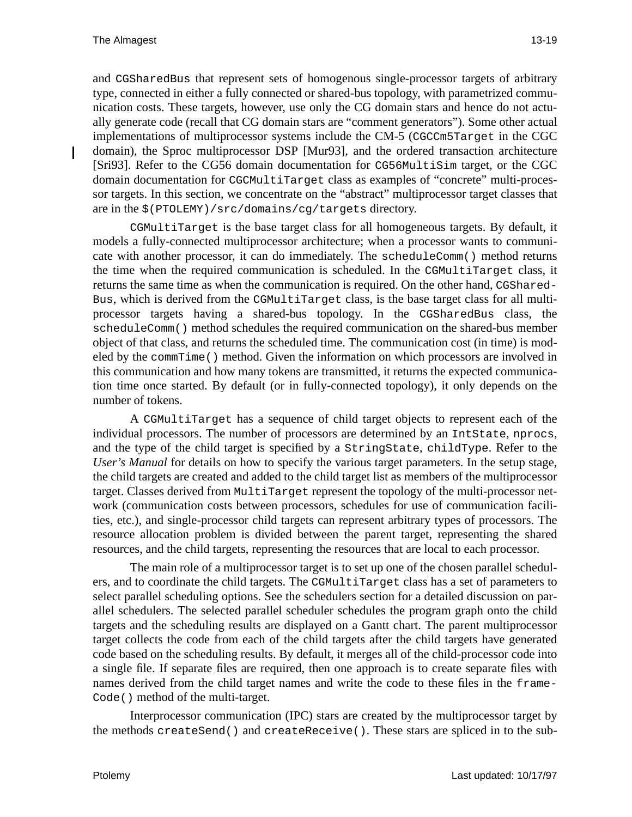and CGSharedBus that represent sets of homogenous single-processor targets of arbitrary type, connected in either a fully connected or shared-bus topology, with parametrized communication costs. These targets, however, use only the CG domain stars and hence do not actually generate code (recall that CG domain stars are "comment generators"). Some other actual implementations of multiprocessor systems include the CM-5 (CGCCm5Target in the CGC domain), the Sproc multiprocessor DSP [Mur93], and the ordered transaction architecture [Sri93]. Refer to the CG56 domain documentation for CG56MultiSim target, or the CGC domain documentation for CGCMultiTarget class as examples of "concrete" multi-processor targets. In this section, we concentrate on the "abstract" multiprocessor target classes that are in the \$(PTOLEMY)/src/domains/cg/targets directory.

CGMultiTarget is the base target class for all homogeneous targets. By default, it models a fully-connected multiprocessor architecture; when a processor wants to communicate with another processor, it can do immediately. The scheduleComm() method returns the time when the required communication is scheduled. In the CGMultiTarget class, it returns the same time as when the communication is required. On the other hand, CGShared-Bus, which is derived from the CGMultiTarget class, is the base target class for all multiprocessor targets having a shared-bus topology. In the CGSharedBus class, the scheduleComm() method schedules the required communication on the shared-bus member object of that class, and returns the scheduled time. The communication cost (in time) is modeled by the commTime() method. Given the information on which processors are involved in this communication and how many tokens are transmitted, it returns the expected communication time once started. By default (or in fully-connected topology), it only depends on the number of tokens.

A CGMultiTarget has a sequence of child target objects to represent each of the individual processors. The number of processors are determined by an IntState, nprocs, and the type of the child target is specified by a StringState, childType. Refer to the *User's Manual* for details on how to specify the various target parameters. In the setup stage, the child targets are created and added to the child target list as members of the multiprocessor target. Classes derived from MultiTarget represent the topology of the multi-processor network (communication costs between processors, schedules for use of communication facilities, etc.), and single-processor child targets can represent arbitrary types of processors. The resource allocation problem is divided between the parent target, representing the shared resources, and the child targets, representing the resources that are local to each processor.

The main role of a multiprocessor target is to set up one of the chosen parallel schedulers, and to coordinate the child targets. The CGMultiTarget class has a set of parameters to select parallel scheduling options. See the schedulers section for a detailed discussion on parallel schedulers. The selected parallel scheduler schedules the program graph onto the child targets and the scheduling results are displayed on a Gantt chart. The parent multiprocessor target collects the code from each of the child targets after the child targets have generated code based on the scheduling results. By default, it merges all of the child-processor code into a single file. If separate files are required, then one approach is to create separate files with names derived from the child target names and write the code to these files in the frame-Code() method of the multi-target.

Interprocessor communication (IPC) stars are created by the multiprocessor target by the methods createSend() and createReceive(). These stars are spliced in to the sub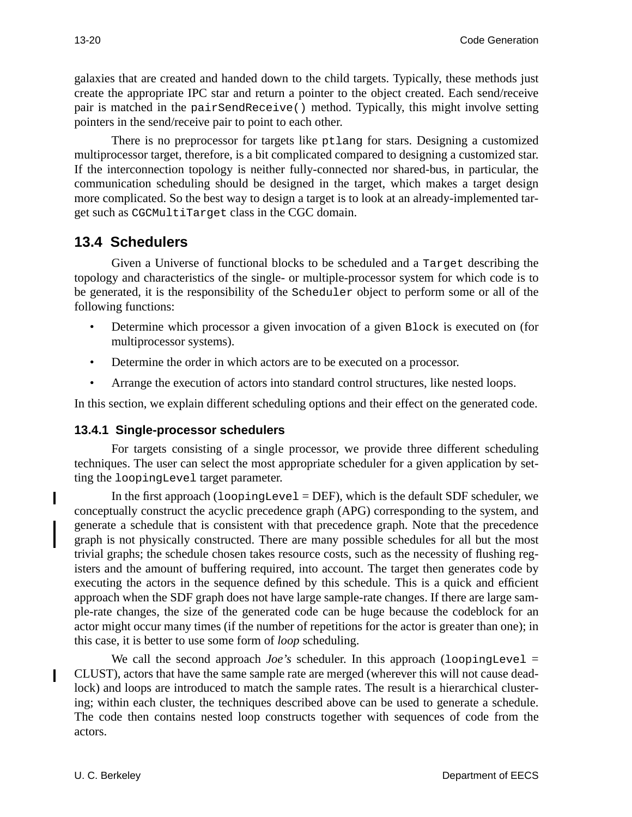galaxies that are created and handed down to the child targets. Typically, these methods just create the appropriate IPC star and return a pointer to the object created. Each send/receive pair is matched in the pairSendReceive() method. Typically, this might involve setting pointers in the send/receive pair to point to each other.

There is no preprocessor for targets like ptlang for stars. Designing a customized multiprocessor target, therefore, is a bit complicated compared to designing a customized star. If the interconnection topology is neither fully-connected nor shared-bus, in particular, the communication scheduling should be designed in the target, which makes a target design more complicated. So the best way to design a target is to look at an already-implemented target such as CGCMultiTarget class in the CGC domain.

# **13.4 Schedulers**

Given a Universe of functional blocks to be scheduled and a Target describing the topology and characteristics of the single- or multiple-processor system for which code is to be generated, it is the responsibility of the Scheduler object to perform some or all of the following functions:

- Determine which processor a given invocation of a given Block is executed on (for multiprocessor systems).
- Determine the order in which actors are to be executed on a processor.
- Arrange the execution of actors into standard control structures, like nested loops.

In this section, we explain different scheduling options and their effect on the generated code.

## **13.4.1 Single-processor schedulers**

For targets consisting of a single processor, we provide three different scheduling techniques. The user can select the most appropriate scheduler for a given application by setting the loopingLevel target parameter.

In the first approach  $(1\text{copingLevel} = DEF)$ , which is the default SDF scheduler, we conceptually construct the acyclic precedence graph (APG) corresponding to the system, and generate a schedule that is consistent with that precedence graph. Note that the precedence graph is not physically constructed. There are many possible schedules for all but the most trivial graphs; the schedule chosen takes resource costs, such as the necessity of flushing registers and the amount of buffering required, into account. The target then generates code by executing the actors in the sequence defined by this schedule. This is a quick and efficient approach when the SDF graph does not have large sample-rate changes. If there are large sample-rate changes, the size of the generated code can be huge because the codeblock for an actor might occur many times (if the number of repetitions for the actor is greater than one); in this case, it is better to use some form of *loop* scheduling.

We call the second approach *Joe's* scheduler. In this approach  $($ loopingLevel = CLUST), actors that have the same sample rate are merged (wherever this will not cause deadlock) and loops are introduced to match the sample rates. The result is a hierarchical clustering; within each cluster, the techniques described above can be used to generate a schedule. The code then contains nested loop constructs together with sequences of code from the actors.

I

 $\blacksquare$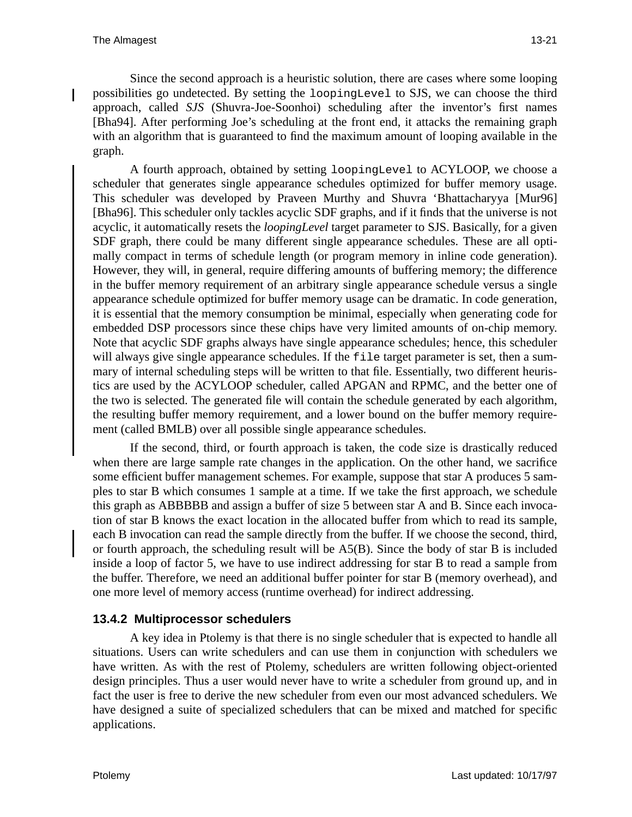Since the second approach is a heuristic solution, there are cases where some looping possibilities go undetected. By setting the loopingLevel to SJS, we can choose the third approach, called *SJS* (Shuvra-Joe-Soonhoi) scheduling after the inventor's first names [Bha94]. After performing Joe's scheduling at the front end, it attacks the remaining graph with an algorithm that is guaranteed to find the maximum amount of looping available in the graph.

A fourth approach, obtained by setting loopingLevel to ACYLOOP, we choose a scheduler that generates single appearance schedules optimized for buffer memory usage. This scheduler was developed by Praveen Murthy and Shuvra 'Bhattacharyya [Mur96] [Bha96]. This scheduler only tackles acyclic SDF graphs, and if it finds that the universe is not acyclic, it automatically resets the *loopingLevel* target parameter to SJS. Basically, for a given SDF graph, there could be many different single appearance schedules. These are all optimally compact in terms of schedule length (or program memory in inline code generation). However, they will, in general, require differing amounts of buffering memory; the difference in the buffer memory requirement of an arbitrary single appearance schedule versus a single appearance schedule optimized for buffer memory usage can be dramatic. In code generation, it is essential that the memory consumption be minimal, especially when generating code for embedded DSP processors since these chips have very limited amounts of on-chip memory. Note that acyclic SDF graphs always have single appearance schedules; hence, this scheduler will always give single appearance schedules. If the file target parameter is set, then a summary of internal scheduling steps will be written to that file. Essentially, two different heuristics are used by the ACYLOOP scheduler, called APGAN and RPMC, and the better one of the two is selected. The generated file will contain the schedule generated by each algorithm, the resulting buffer memory requirement, and a lower bound on the buffer memory requirement (called BMLB) over all possible single appearance schedules.

If the second, third, or fourth approach is taken, the code size is drastically reduced when there are large sample rate changes in the application. On the other hand, we sacrifice some efficient buffer management schemes. For example, suppose that star A produces 5 samples to star B which consumes 1 sample at a time. If we take the first approach, we schedule this graph as ABBBBB and assign a buffer of size 5 between star A and B. Since each invocation of star B knows the exact location in the allocated buffer from which to read its sample, each B invocation can read the sample directly from the buffer. If we choose the second, third, or fourth approach, the scheduling result will be A5(B). Since the body of star B is included inside a loop of factor 5, we have to use indirect addressing for star B to read a sample from the buffer. Therefore, we need an additional buffer pointer for star B (memory overhead), and one more level of memory access (runtime overhead) for indirect addressing.

## **13.4.2 Multiprocessor schedulers**

A key idea in Ptolemy is that there is no single scheduler that is expected to handle all situations. Users can write schedulers and can use them in conjunction with schedulers we have written. As with the rest of Ptolemy, schedulers are written following object-oriented design principles. Thus a user would never have to write a scheduler from ground up, and in fact the user is free to derive the new scheduler from even our most advanced schedulers. We have designed a suite of specialized schedulers that can be mixed and matched for specific applications.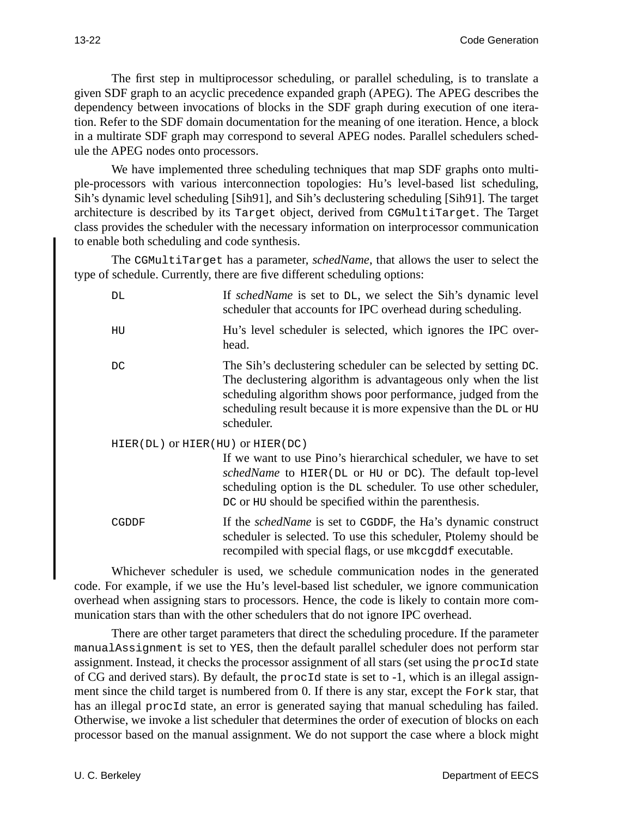The first step in multiprocessor scheduling, or parallel scheduling, is to translate a given SDF graph to an acyclic precedence expanded graph (APEG). The APEG describes the dependency between invocations of blocks in the SDF graph during execution of one iteration. Refer to the SDF domain documentation for the meaning of one iteration. Hence, a block in a multirate SDF graph may correspond to several APEG nodes. Parallel schedulers schedule the APEG nodes onto processors.

We have implemented three scheduling techniques that map SDF graphs onto multiple-processors with various interconnection topologies: Hu's level-based list scheduling, Sih's dynamic level scheduling [Sih91], and Sih's declustering scheduling [Sih91]. The target architecture is described by its Target object, derived from CGMultiTarget. The Target class provides the scheduler with the necessary information on interprocessor communication to enable both scheduling and code synthesis.

The CGMultiTarget has a parameter, *schedName*, that allows the user to select the type of schedule. Currently, there are five different scheduling options:

| DL                               | If <i>schedName</i> is set to DL, we select the Sih's dynamic level<br>scheduler that accounts for IPC overhead during scheduling.                                                                                                                                                 |
|----------------------------------|------------------------------------------------------------------------------------------------------------------------------------------------------------------------------------------------------------------------------------------------------------------------------------|
| HU                               | Hu's level scheduler is selected, which ignores the IPC over-<br>head.                                                                                                                                                                                                             |
| DC                               | The Sih's declustering scheduler can be selected by setting DC.<br>The declustering algorithm is advantageous only when the list<br>scheduling algorithm shows poor performance, judged from the<br>scheduling result because it is more expensive than the DL or HU<br>scheduler. |
| HIER(DL) OT HIER(HU) OT HIER(DC) |                                                                                                                                                                                                                                                                                    |
|                                  | If we want to use Pino's hierarchical scheduler, we have to set<br>schedName to HIER(DL or HU or DC). The default top-level<br>scheduling option is the DL scheduler. To use other scheduler,<br>DC or HU should be specified within the parenthesis.                              |
| CGDDF                            | If the <i>schedName</i> is set to CGDDF, the Ha's dynamic construct<br>scheduler is selected. To use this scheduler, Ptolemy should be<br>recompiled with special flags, or use mkcgddf executable.                                                                                |

Whichever scheduler is used, we schedule communication nodes in the generated code. For example, if we use the Hu's level-based list scheduler, we ignore communication overhead when assigning stars to processors. Hence, the code is likely to contain more communication stars than with the other schedulers that do not ignore IPC overhead.

There are other target parameters that direct the scheduling procedure. If the parameter manualAssignment is set to YES, then the default parallel scheduler does not perform star assignment. Instead, it checks the processor assignment of all stars (set using the procId state of CG and derived stars). By default, the procId state is set to -1, which is an illegal assignment since the child target is numbered from 0. If there is any star, except the Fork star, that has an illegal procId state, an error is generated saying that manual scheduling has failed. Otherwise, we invoke a list scheduler that determines the order of execution of blocks on each processor based on the manual assignment. We do not support the case where a block might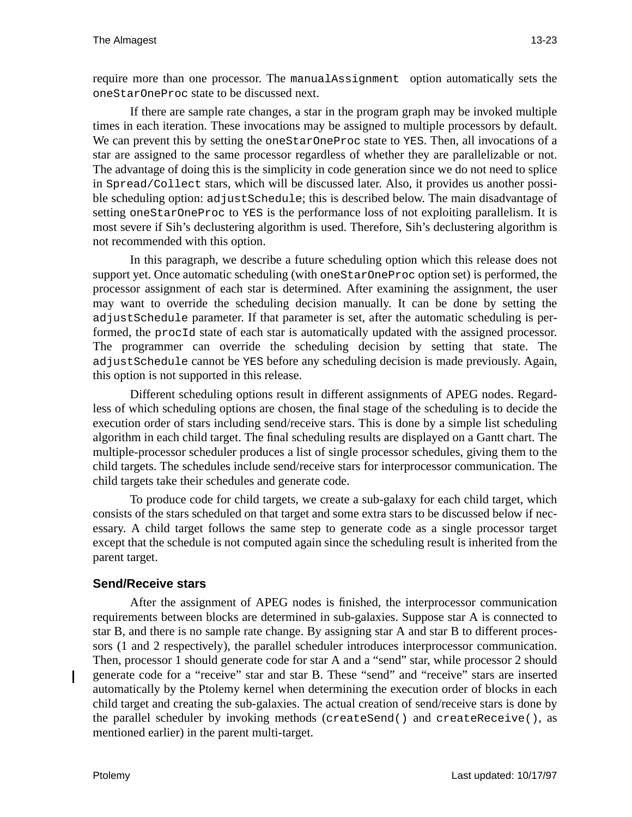require more than one processor. The manualAssignment option automatically sets the oneStarOneProc state to be discussed next.

If there are sample rate changes, a star in the program graph may be invoked multiple times in each iteration. These invocations may be assigned to multiple processors by default. We can prevent this by setting the oneStarOneProc state to YES. Then, all invocations of a star are assigned to the same processor regardless of whether they are parallelizable or not. The advantage of doing this is the simplicity in code generation since we do not need to splice in Spread/Collect stars, which will be discussed later. Also, it provides us another possible scheduling option: adjustSchedule; this is described below. The main disadvantage of setting oneStarOneProc to YES is the performance loss of not exploiting parallelism. It is most severe if Sih's declustering algorithm is used. Therefore, Sih's declustering algorithm is not recommended with this option.

In this paragraph, we describe a future scheduling option which this release does not support yet. Once automatic scheduling (with oneStarOneProc option set) is performed, the processor assignment of each star is determined. After examining the assignment, the user may want to override the scheduling decision manually. It can be done by setting the adjustSchedule parameter. If that parameter is set, after the automatic scheduling is performed, the procId state of each star is automatically updated with the assigned processor. The programmer can override the scheduling decision by setting that state. The adjustSchedule cannot be YES before any scheduling decision is made previously. Again, this option is not supported in this release.

Different scheduling options result in different assignments of APEG nodes. Regardless of which scheduling options are chosen, the final stage of the scheduling is to decide the execution order of stars including send/receive stars. This is done by a simple list scheduling algorithm in each child target. The final scheduling results are displayed on a Gantt chart. The multiple-processor scheduler produces a list of single processor schedules, giving them to the child targets. The schedules include send/receive stars for interprocessor communication. The child targets take their schedules and generate code.

To produce code for child targets, we create a sub-galaxy for each child target, which consists of the stars scheduled on that target and some extra stars to be discussed below if necessary. A child target follows the same step to generate code as a single processor target except that the schedule is not computed again since the scheduling result is inherited from the parent target.

## **Send/Receive stars**

After the assignment of APEG nodes is finished, the interprocessor communication requirements between blocks are determined in sub-galaxies. Suppose star A is connected to star B, and there is no sample rate change. By assigning star A and star B to different processors (1 and 2 respectively), the parallel scheduler introduces interprocessor communication. Then, processor 1 should generate code for star A and a "send" star, while processor 2 should generate code for a "receive" star and star B. These "send" and "receive" stars are inserted automatically by the Ptolemy kernel when determining the execution order of blocks in each child target and creating the sub-galaxies. The actual creation of send/receive stars is done by the parallel scheduler by invoking methods (createSend() and createReceive(), as mentioned earlier) in the parent multi-target.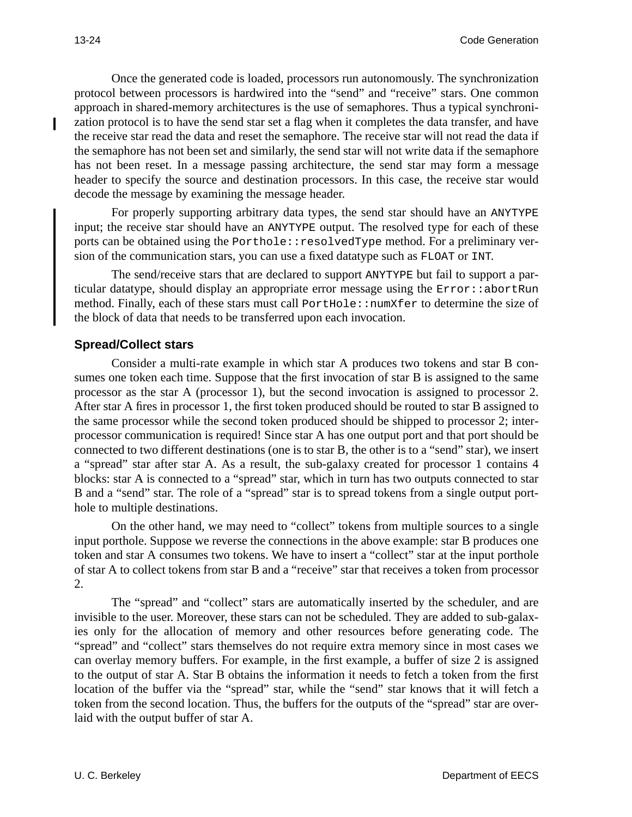Once the generated code is loaded, processors run autonomously. The synchronization protocol between processors is hardwired into the "send" and "receive" stars. One common approach in shared-memory architectures is the use of semaphores. Thus a typical synchronization protocol is to have the send star set a flag when it completes the data transfer, and have the receive star read the data and reset the semaphore. The receive star will not read the data if the semaphore has not been set and similarly, the send star will not write data if the semaphore has not been reset. In a message passing architecture, the send star may form a message header to specify the source and destination processors. In this case, the receive star would decode the message by examining the message header.

For properly supporting arbitrary data types, the send star should have an ANYTYPE input; the receive star should have an ANYTYPE output. The resolved type for each of these ports can be obtained using the Porthole::resolvedType method. For a preliminary version of the communication stars, you can use a fixed datatype such as FLOAT or INT.

The send/receive stars that are declared to support ANYTYPE but fail to support a particular datatype, should display an appropriate error message using the Error::abortRun method. Finally, each of these stars must call PortHole::numXfer to determine the size of the block of data that needs to be transferred upon each invocation.

## **Spread/Collect stars**

Consider a multi-rate example in which star A produces two tokens and star B consumes one token each time. Suppose that the first invocation of star B is assigned to the same processor as the star A (processor 1), but the second invocation is assigned to processor 2. After star A fires in processor 1, the first token produced should be routed to star B assigned to the same processor while the second token produced should be shipped to processor 2; interprocessor communication is required! Since star A has one output port and that port should be connected to two different destinations (one is to star B, the other is to a "send" star), we insert a "spread" star after star A. As a result, the sub-galaxy created for processor 1 contains 4 blocks: star A is connected to a "spread" star, which in turn has two outputs connected to star B and a "send" star. The role of a "spread" star is to spread tokens from a single output porthole to multiple destinations.

On the other hand, we may need to "collect" tokens from multiple sources to a single input porthole. Suppose we reverse the connections in the above example: star B produces one token and star A consumes two tokens. We have to insert a "collect" star at the input porthole of star A to collect tokens from star B and a "receive" star that receives a token from processor 2.

The "spread" and "collect" stars are automatically inserted by the scheduler, and are invisible to the user. Moreover, these stars can not be scheduled. They are added to sub-galaxies only for the allocation of memory and other resources before generating code. The "spread" and "collect" stars themselves do not require extra memory since in most cases we can overlay memory buffers. For example, in the first example, a buffer of size 2 is assigned to the output of star A. Star B obtains the information it needs to fetch a token from the first location of the buffer via the "spread" star, while the "send" star knows that it will fetch a token from the second location. Thus, the buffers for the outputs of the "spread" star are overlaid with the output buffer of star A.

I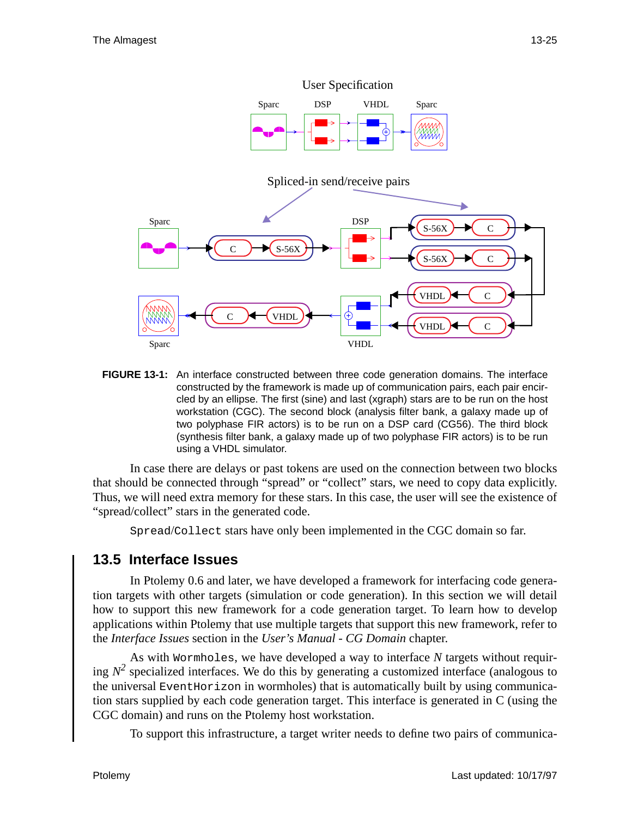

**FIGURE 13-1:** An interface constructed between three code generation domains. The interface constructed by the framework is made up of communication pairs, each pair encircled by an ellipse. The first (sine) and last (xgraph) stars are to be run on the host workstation (CGC). The second block (analysis filter bank, a galaxy made up of two polyphase FIR actors) is to be run on a DSP card (CG56). The third block (synthesis filter bank, a galaxy made up of two polyphase FIR actors) is to be run using a VHDL simulator.

In case there are delays or past tokens are used on the connection between two blocks that should be connected through "spread" or "collect" stars, we need to copy data explicitly. Thus, we will need extra memory for these stars. In this case, the user will see the existence of "spread/collect" stars in the generated code.

Spread/Collect stars have only been implemented in the CGC domain so far.

# **13.5 Interface Issues**

In Ptolemy 0.6 and later, we have developed a framework for interfacing code generation targets with other targets (simulation or code generation). In this section we will detail how to support this new framework for a code generation target. To learn how to develop applications within Ptolemy that use multiple targets that support this new framework, refer to the *Interface Issues* section in the *User's Manual - CG Domain* chapter.

As with Wormholes, we have developed a way to interface *N* targets without requiring  $N^2$  specialized interfaces. We do this by generating a customized interface (analogous to the universal EventHorizon in wormholes) that is automatically built by using communication stars supplied by each code generation target. This interface is generated in C (using the CGC domain) and runs on the Ptolemy host workstation.

To support this infrastructure, a target writer needs to define two pairs of communica-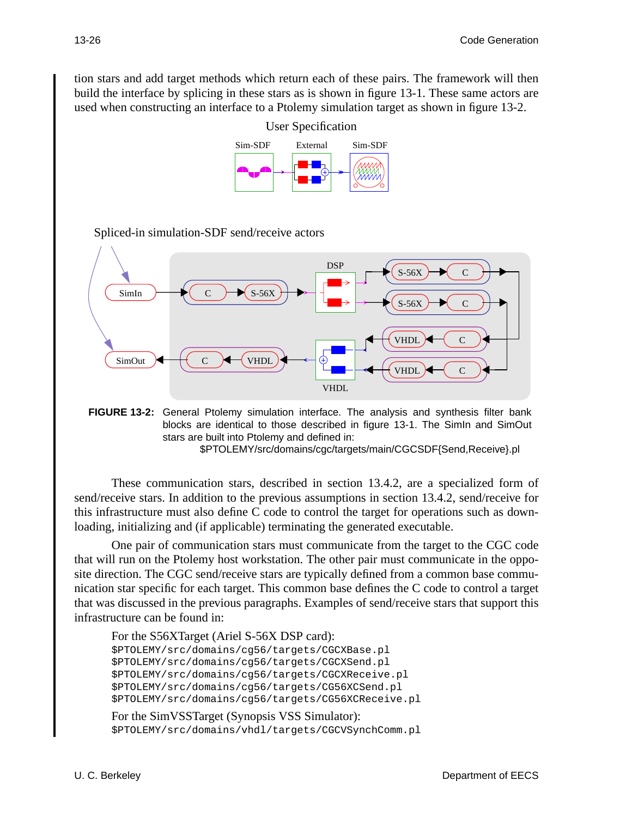tion stars and add target methods which return each of these pairs. The framework will then build the interface by splicing in these stars as is shown in figure 13-1. These same actors are used when constructing an interface to a Ptolemy simulation target as shown in figure 13-2.



Spliced-in simulation-SDF send/receive actors



**FIGURE 13-2:** General Ptolemy simulation interface. The analysis and synthesis filter bank blocks are identical to those described in figure 13-1. The SimIn and SimOut stars are built into Ptolemy and defined in: \$PTOLEMY/src/domains/cgc/targets/main/CGCSDF{Send,Receive}.pl

These communication stars, described in section 13.4.2, are a specialized form of send/receive stars. In addition to the previous assumptions in section 13.4.2, send/receive for this infrastructure must also define C code to control the target for operations such as downloading, initializing and (if applicable) terminating the generated executable.

One pair of communication stars must communicate from the target to the CGC code that will run on the Ptolemy host workstation. The other pair must communicate in the opposite direction. The CGC send/receive stars are typically defined from a common base communication star specific for each target. This common base defines the C code to control a target that was discussed in the previous paragraphs. Examples of send/receive stars that support this infrastructure can be found in:

```
For the S56XTarget (Ariel S-56X DSP card):
$PTOLEMY/src/domains/cg56/targets/CGCXBase.pl
$PTOLEMY/src/domains/cg56/targets/CGCXSend.pl
$PTOLEMY/src/domains/cg56/targets/CGCXReceive.pl
$PTOLEMY/src/domains/cg56/targets/CG56XCSend.pl
$PTOLEMY/src/domains/cg56/targets/CG56XCReceive.pl
```

```
For the SimVSSTarget (Synopsis VSS Simulator):
$PTOLEMY/src/domains/vhdl/targets/CGCVSynchComm.pl
```